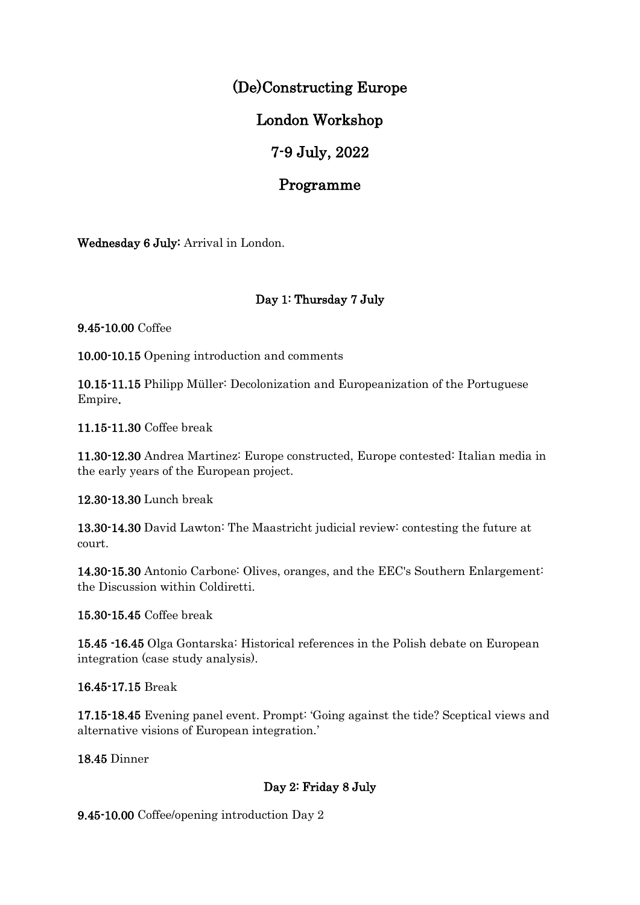# (De)Constructing Europe

# London Workshop

## 7-9 July, 2022

### Programme

Wednesday 6 July: Arrival in London.

### Day 1: Thursday 7 July

9.45-10.00 Coffee

10.00-10.15 Opening introduction and comments

10.15-11.15 Philipp Müller: Decolonization and Europeanization of the Portuguese Empire.

11.15-11.30 Coffee break

11.30-12.30 Andrea Martinez: Europe constructed, Europe contested: Italian media in the early years of the European project.

12.30-13.30 Lunch break

13.30-14.30 David Lawton: The Maastricht judicial review: contesting the future at court.

14.30-15.30 Antonio Carbone: Olives, oranges, and the EEC's Southern Enlargement: the Discussion within Coldiretti.

15.30-15.45 Coffee break

15.45 -16.45 Olga Gontarska: Historical references in the Polish debate on European integration (case study analysis).

16.45-17.15 Break

17.15-18.45 Evening panel event. Prompt: 'Going against the tide? Sceptical views and alternative visions of European integration.'

18.45 Dinner

### Day 2: Friday 8 July

9.45-10.00 Coffee/opening introduction Day 2